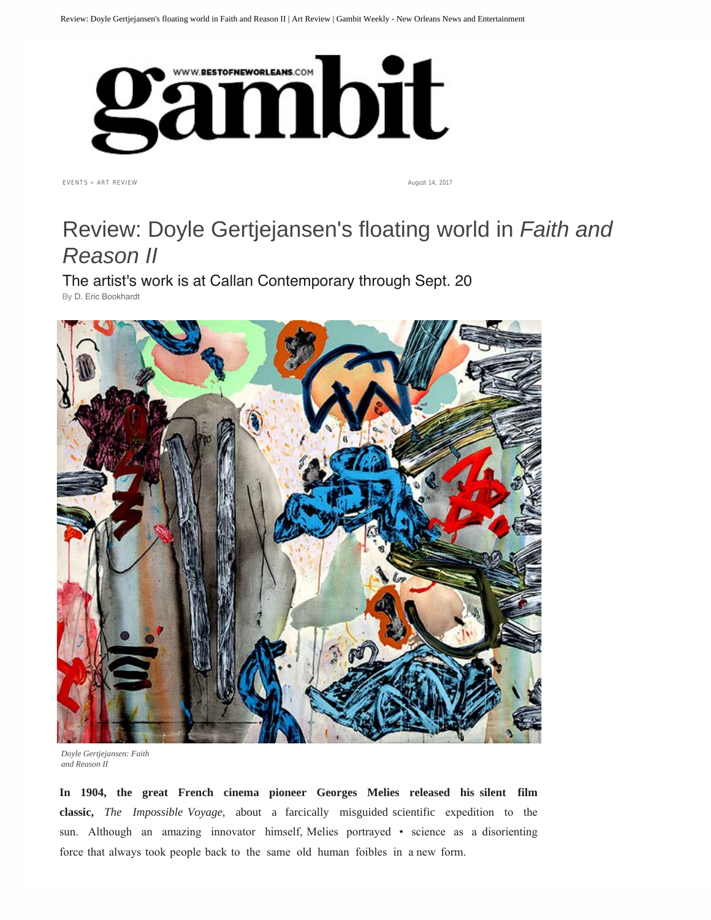

EVENTS » ART REVIEW

August 14, 2017

## Review: Doyle Gertjejansen's floating world in *Faith and Reason II*

The artist's work is at Callan Contemporary through Sept. 20 By D. Eric Bookhardt

*Doyle Gertjejansen: Faith and Reason II*

**In 1904, the great French cinema pioneer Georges Melies released his silent film classic,** *The Impossible Voyage*, about a farcically misguided scientific expedition to the sun. Although an amazing innovator himself, Melies portrayed • science as a disorienting force that always took people back to the same old human foibles in a new form.